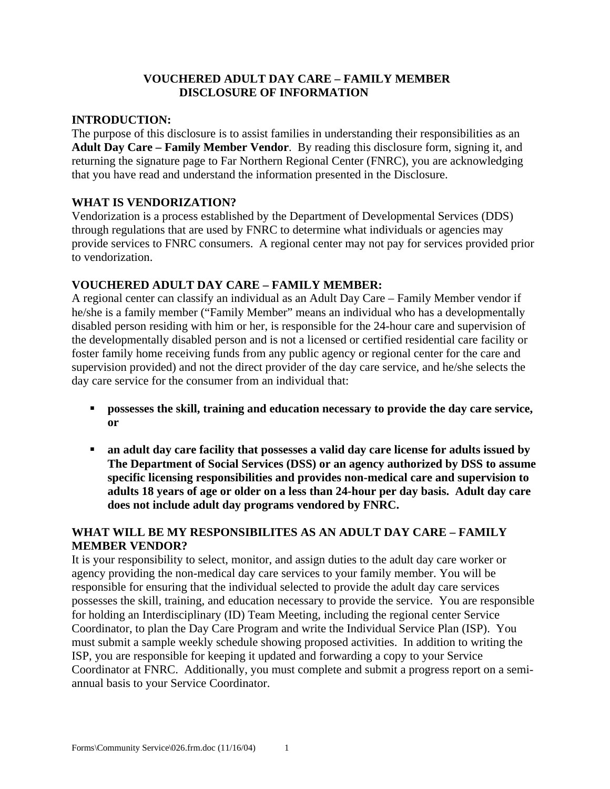#### **VOUCHERED ADULT DAY CARE – FAMILY MEMBER DISCLOSURE OF INFORMATION**

#### **INTRODUCTION:**

The purpose of this disclosure is to assist families in understanding their responsibilities as an **Adult Day Care – Family Member Vendor**. By reading this disclosure form, signing it, and returning the signature page to Far Northern Regional Center (FNRC), you are acknowledging that you have read and understand the information presented in the Disclosure.

#### **WHAT IS VENDORIZATION?**

Vendorization is a process established by the Department of Developmental Services (DDS) through regulations that are used by FNRC to determine what individuals or agencies may provide services to FNRC consumers. A regional center may not pay for services provided prior to vendorization.

#### **VOUCHERED ADULT DAY CARE – FAMILY MEMBER:**

A regional center can classify an individual as an Adult Day Care – Family Member vendor if he/she is a family member ("Family Member" means an individual who has a developmentally disabled person residing with him or her, is responsible for the 24-hour care and supervision of the developmentally disabled person and is not a licensed or certified residential care facility or foster family home receiving funds from any public agency or regional center for the care and supervision provided) and not the direct provider of the day care service, and he/she selects the day care service for the consumer from an individual that:

- **•** possesses the skill, training and education necessary to provide the day care service, **or**
- **an adult day care facility that possesses a valid day care license for adults issued by The Department of Social Services (DSS) or an agency authorized by DSS to assume specific licensing responsibilities and provides non-medical care and supervision to adults 18 years of age or older on a less than 24-hour per day basis. Adult day care does not include adult day programs vendored by FNRC.**

#### **WHAT WILL BE MY RESPONSIBILITES AS AN ADULT DAY CARE – FAMILY MEMBER VENDOR?**

It is your responsibility to select, monitor, and assign duties to the adult day care worker or agency providing the non-medical day care services to your family member. You will be responsible for ensuring that the individual selected to provide the adult day care services possesses the skill, training, and education necessary to provide the service. You are responsible for holding an Interdisciplinary (ID) Team Meeting, including the regional center Service Coordinator, to plan the Day Care Program and write the Individual Service Plan (ISP). You must submit a sample weekly schedule showing proposed activities. In addition to writing the ISP, you are responsible for keeping it updated and forwarding a copy to your Service Coordinator at FNRC. Additionally, you must complete and submit a progress report on a semiannual basis to your Service Coordinator.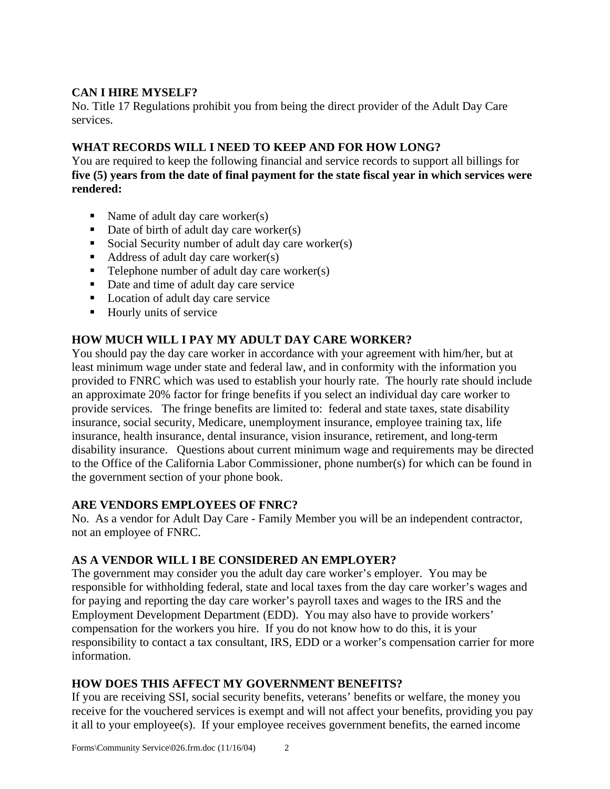## **CAN I HIRE MYSELF?**

No. Title 17 Regulations prohibit you from being the direct provider of the Adult Day Care services.

## **WHAT RECORDS WILL I NEED TO KEEP AND FOR HOW LONG?**

You are required to keep the following financial and service records to support all billings for **five (5) years from the date of final payment for the state fiscal year in which services were rendered:** 

- Name of adult day care worker(s)
- $\blacksquare$  Date of birth of adult day care worker(s)
- Social Security number of adult day care worker(s)
- $\blacksquare$  Address of adult day care worker(s)
- $\blacksquare$  Telephone number of adult day care worker(s)
- Date and time of adult day care service
- Location of adult day care service
- Hourly units of service

## **HOW MUCH WILL I PAY MY ADULT DAY CARE WORKER?**

You should pay the day care worker in accordance with your agreement with him/her, but at least minimum wage under state and federal law, and in conformity with the information you provided to FNRC which was used to establish your hourly rate. The hourly rate should include an approximate 20% factor for fringe benefits if you select an individual day care worker to provide services. The fringe benefits are limited to: federal and state taxes, state disability insurance, social security, Medicare, unemployment insurance, employee training tax, life insurance, health insurance, dental insurance, vision insurance, retirement, and long-term disability insurance. Questions about current minimum wage and requirements may be directed to the Office of the California Labor Commissioner, phone number(s) for which can be found in the government section of your phone book.

### **ARE VENDORS EMPLOYEES OF FNRC?**

No. As a vendor for Adult Day Care - Family Member you will be an independent contractor, not an employee of FNRC.

# **AS A VENDOR WILL I BE CONSIDERED AN EMPLOYER?**

The government may consider you the adult day care worker's employer. You may be responsible for withholding federal, state and local taxes from the day care worker's wages and for paying and reporting the day care worker's payroll taxes and wages to the IRS and the Employment Development Department (EDD). You may also have to provide workers' compensation for the workers you hire. If you do not know how to do this, it is your responsibility to contact a tax consultant, IRS, EDD or a worker's compensation carrier for more information.

### **HOW DOES THIS AFFECT MY GOVERNMENT BENEFITS?**

If you are receiving SSI, social security benefits, veterans' benefits or welfare, the money you receive for the vouchered services is exempt and will not affect your benefits, providing you pay it all to your employee(s). If your employee receives government benefits, the earned income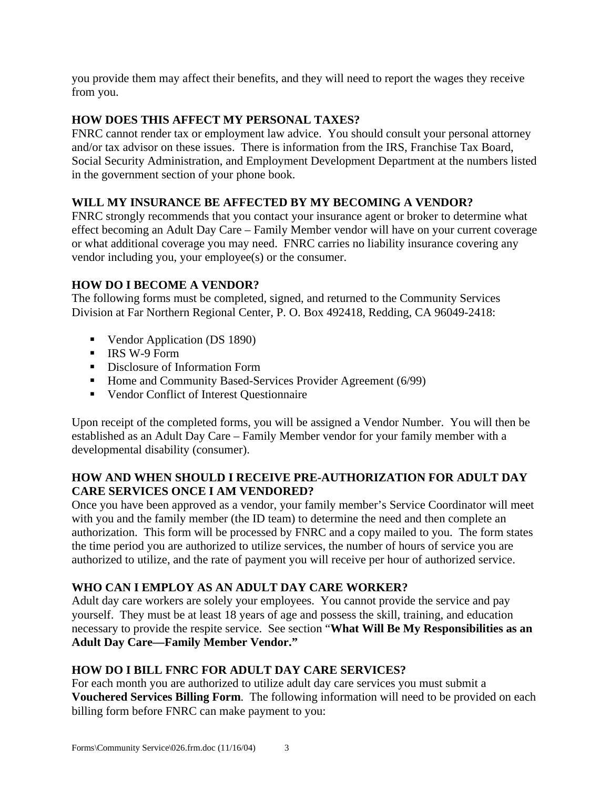you provide them may affect their benefits, and they will need to report the wages they receive from you.

## **HOW DOES THIS AFFECT MY PERSONAL TAXES?**

FNRC cannot render tax or employment law advice. You should consult your personal attorney and/or tax advisor on these issues. There is information from the IRS, Franchise Tax Board, Social Security Administration, and Employment Development Department at the numbers listed in the government section of your phone book.

## **WILL MY INSURANCE BE AFFECTED BY MY BECOMING A VENDOR?**

FNRC strongly recommends that you contact your insurance agent or broker to determine what effect becoming an Adult Day Care – Family Member vendor will have on your current coverage or what additional coverage you may need. FNRC carries no liability insurance covering any vendor including you, your employee(s) or the consumer.

## **HOW DO I BECOME A VENDOR?**

The following forms must be completed, signed, and returned to the Community Services Division at Far Northern Regional Center, P. O. Box 492418, Redding, CA 96049-2418:

- Vendor Application (DS 1890)
- $\blacksquare$  IRS W-9 Form
- **•** Disclosure of Information Form
- Home and Community Based-Services Provider Agreement (6/99)
- Vendor Conflict of Interest Questionnaire

Upon receipt of the completed forms, you will be assigned a Vendor Number. You will then be established as an Adult Day Care – Family Member vendor for your family member with a developmental disability (consumer).

### **HOW AND WHEN SHOULD I RECEIVE PRE-AUTHORIZATION FOR ADULT DAY CARE SERVICES ONCE I AM VENDORED?**

Once you have been approved as a vendor, your family member's Service Coordinator will meet with you and the family member (the ID team) to determine the need and then complete an authorization. This form will be processed by FNRC and a copy mailed to you. The form states the time period you are authorized to utilize services, the number of hours of service you are authorized to utilize, and the rate of payment you will receive per hour of authorized service.

# **WHO CAN I EMPLOY AS AN ADULT DAY CARE WORKER?**

Adult day care workers are solely your employees. You cannot provide the service and pay yourself. They must be at least 18 years of age and possess the skill, training, and education necessary to provide the respite service. See section "**What Will Be My Responsibilities as an Adult Day Care—Family Member Vendor."**

### **HOW DO I BILL FNRC FOR ADULT DAY CARE SERVICES?**

For each month you are authorized to utilize adult day care services you must submit a **Vouchered Services Billing Form**. The following information will need to be provided on each billing form before FNRC can make payment to you: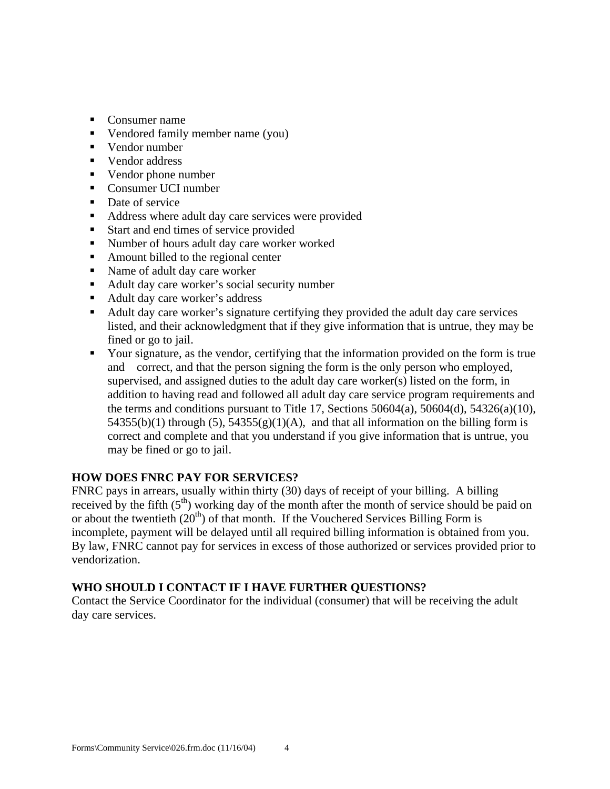- Consumer name
- Vendored family member name  $(you)$
- Vendor number
- Vendor address
- Vendor phone number
- Consumer UCI number
- Date of service
- Address where adult day care services were provided
- Start and end times of service provided
- Number of hours adult day care worker worked
- Amount billed to the regional center
- Name of adult day care worker
- Adult day care worker's social security number
- Adult day care worker's address
- Adult day care worker's signature certifying they provided the adult day care services listed, and their acknowledgment that if they give information that is untrue, they may be fined or go to jail.
- Your signature, as the vendor, certifying that the information provided on the form is true and correct, and that the person signing the form is the only person who employed, supervised, and assigned duties to the adult day care worker(s) listed on the form, in addition to having read and followed all adult day care service program requirements and the terms and conditions pursuant to Title 17, Sections  $50604(a)$ ,  $50604(d)$ ,  $54326(a)(10)$ ,  $54355(b)(1)$  through  $(5)$ ,  $54355(g)(1)(A)$ , and that all information on the billing form is correct and complete and that you understand if you give information that is untrue, you may be fined or go to jail.

# **HOW DOES FNRC PAY FOR SERVICES?**

FNRC pays in arrears, usually within thirty (30) days of receipt of your billing. A billing received by the fifth  $(5<sup>th</sup>)$  working day of the month after the month of service should be paid on or about the twentieth  $(20<sup>th</sup>)$  of that month. If the Vouchered Services Billing Form is incomplete, payment will be delayed until all required billing information is obtained from you. By law, FNRC cannot pay for services in excess of those authorized or services provided prior to vendorization.

# **WHO SHOULD I CONTACT IF I HAVE FURTHER QUESTIONS?**

Contact the Service Coordinator for the individual (consumer) that will be receiving the adult day care services.